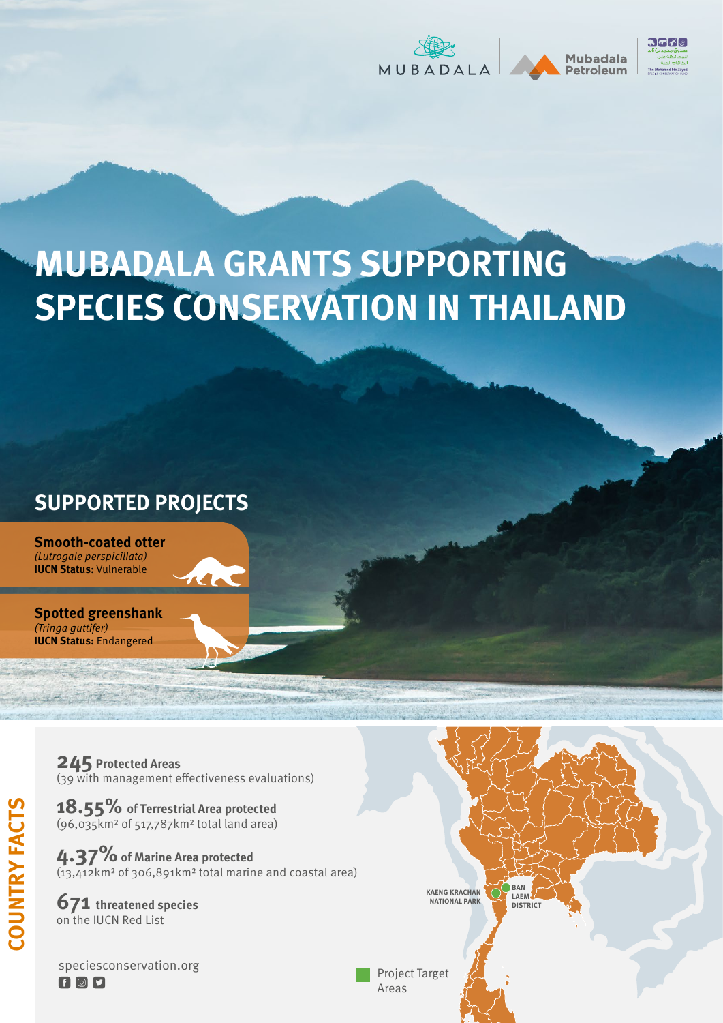





## **MUBADALA GRANTS SUPPORTING SPECIES CONSERVATION IN THAILAND**

## **SUPPORTED PROJECTS**

**Smooth-coated otter**  (Lutrogale perspicillata) **IUCN Status:** Vulnerable

**Spotted greenshank** (Tringa guttifer) **IUCN Status:** Endangered

> **245 Protected Areas** (39 with management effectiveness evaluations)

**18.55% of Terrestrial Area protected**  (96,035km2 of 517,787km2 total land area)

**4.37% of Marine Area protected** (13,412km2 of 306,891km2 total marine and coastal area)

**671 threatened species**  on the IUCN Red List

**COUNTRY FACTS**

**COUNTRY FACTS** 

speciesconservation.orgFIOD



Project Target Areas